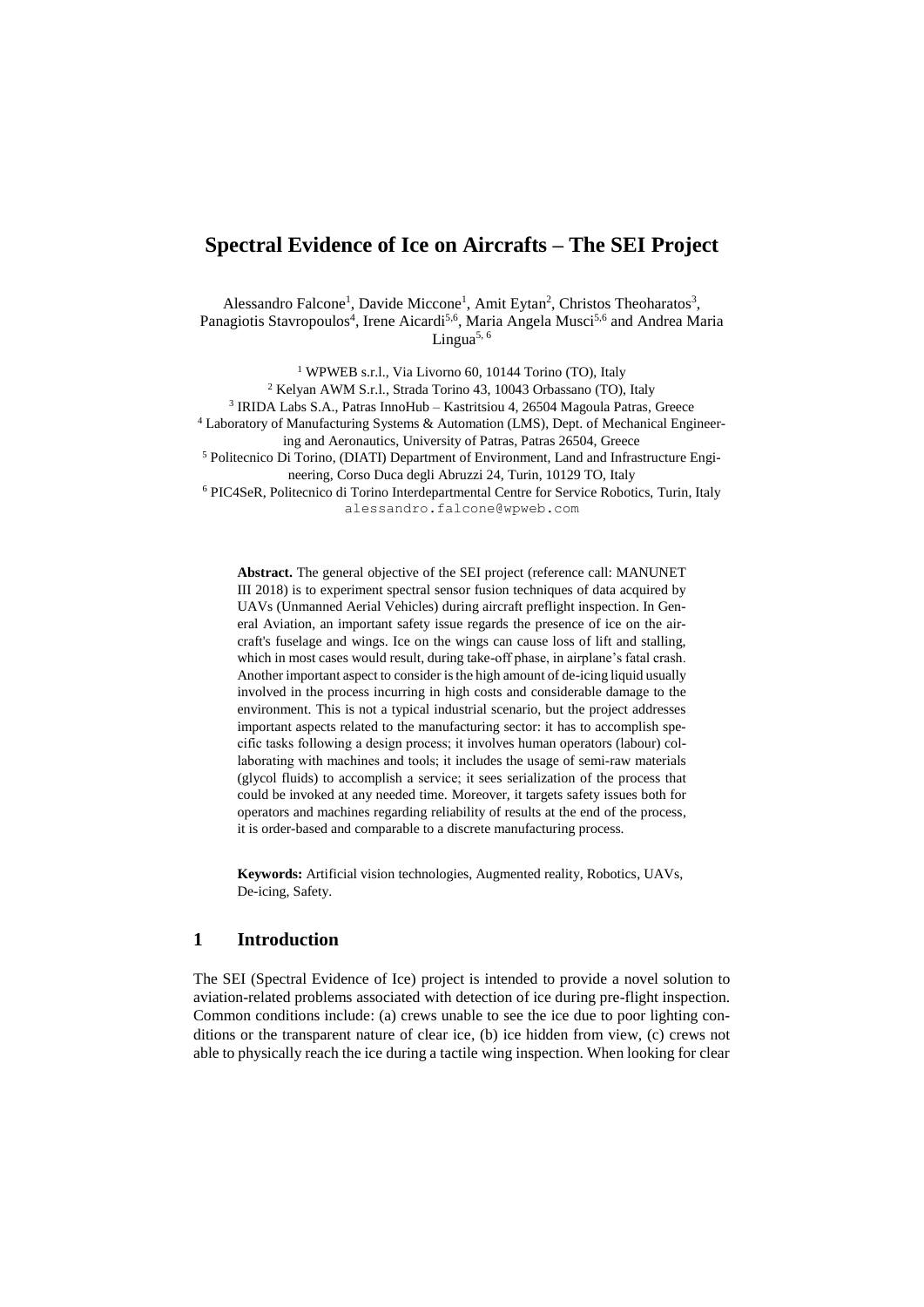# **Spectral Evidence of Ice on Aircrafts – The SEI Project**

Alessandro Falcone<sup>1</sup>, Davide Miccone<sup>1</sup>, Amit Eytan<sup>2</sup>, Christos Theoharatos<sup>3</sup>, Panagiotis Stavropoulos<sup>4</sup>, Irene Aicardi<sup>5,6</sup>, Maria Angela Musci<sup>5,6</sup> and Andrea Maria Lingua<sup>5, 6</sup>

<sup>1</sup> WPWEB s.r.l., Via Livorno 60, 10144 Torino (TO), Italy Kelyan AWM S.r.l., Strada Torino 43, 10043 Orbassano (TO), Italy IRIDA Labs S.A., Patras InnoHub – Kastritsiou 4, 26504 Magoula Patras, Greece Laboratory of Manufacturing Systems & Automation (LMS), Dept. of Mechanical Engineering and Aeronautics, University of Patras, Patras 26504, Greece Politecnico Di Torino, (DIATI) Department of Environment, Land and Infrastructure Engineering, Corso Duca degli Abruzzi 24, Turin, 10129 TO, Italy PIC4SeR, Politecnico di Torino Interdepartmental Centre for Service Robotics, Turin, Italy

alessandro.falcone@wpweb.com

**Abstract.** The general objective of the SEI project (reference call: MANUNET III 2018) is to experiment spectral sensor fusion techniques of data acquired by UAVs (Unmanned Aerial Vehicles) during aircraft preflight inspection. In General Aviation, an important safety issue regards the presence of ice on the aircraft's fuselage and wings. Ice on the wings can cause loss of lift and stalling, which in most cases would result, during take-off phase, in airplane's fatal crash. Another important aspect to consider is the high amount of de-icing liquid usually involved in the process incurring in high costs and considerable damage to the environment. This is not a typical industrial scenario, but the project addresses important aspects related to the manufacturing sector: it has to accomplish specific tasks following a design process; it involves human operators (labour) collaborating with machines and tools; it includes the usage of semi-raw materials (glycol fluids) to accomplish a service; it sees serialization of the process that could be invoked at any needed time. Moreover, it targets safety issues both for operators and machines regarding reliability of results at the end of the process, it is order-based and comparable to a discrete manufacturing process.

**Keywords:** Artificial vision technologies, Augmented reality, Robotics, UAVs, De-icing, Safety.

### **1 Introduction**

The SEI (Spectral Evidence of Ice) project is intended to provide a novel solution to aviation-related problems associated with detection of ice during pre-flight inspection. Common conditions include: (a) crews unable to see the ice due to poor lighting conditions or the transparent nature of clear ice, (b) ice hidden from view, (c) crews not able to physically reach the ice during a tactile wing inspection. When looking for clear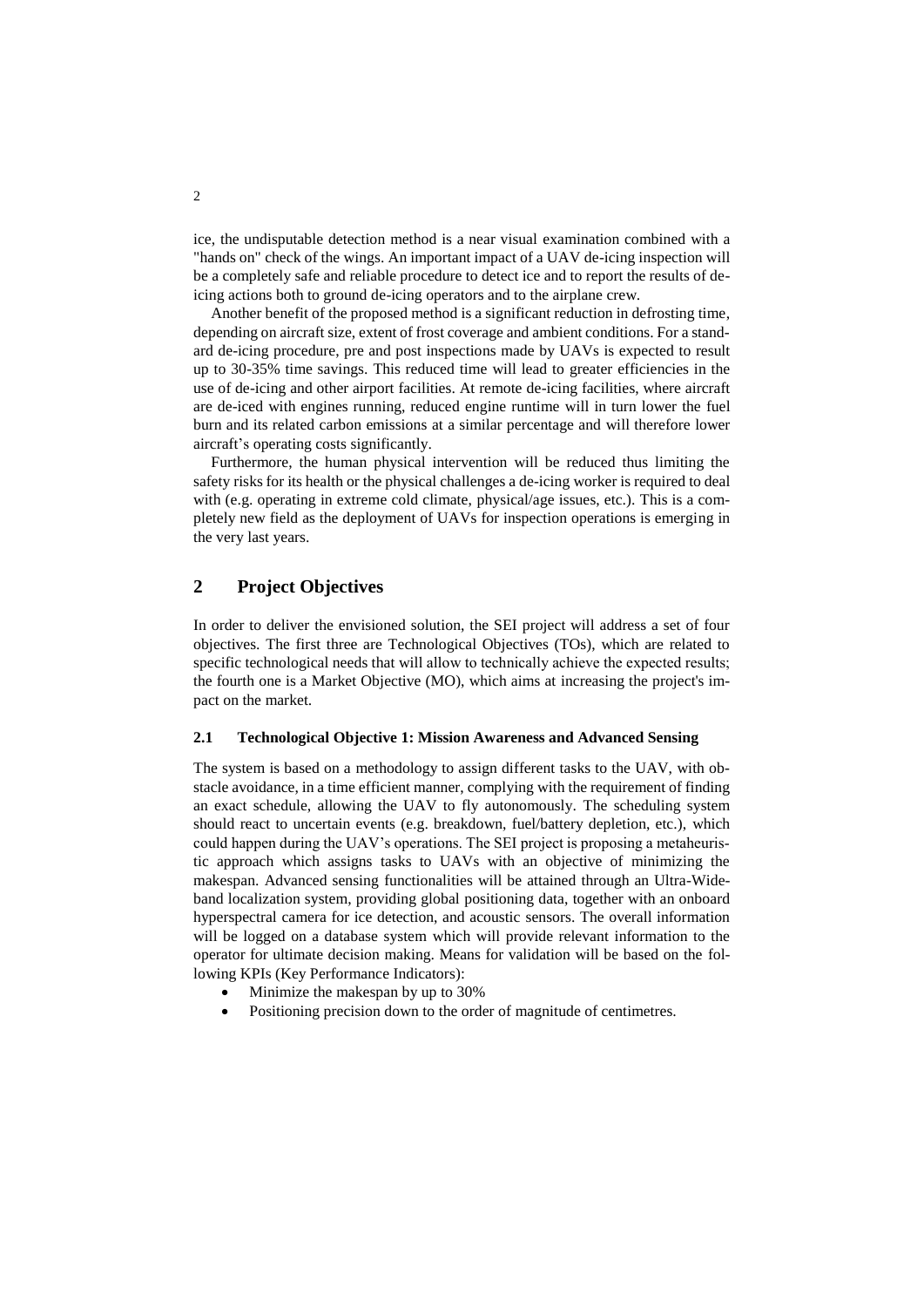ice, the undisputable detection method is a near visual examination combined with a "hands on" check of the wings. An important impact of a UAV de-icing inspection will be a completely safe and reliable procedure to detect ice and to report the results of deicing actions both to ground de-icing operators and to the airplane crew.

Another benefit of the proposed method is a significant reduction in defrosting time, depending on aircraft size, extent of frost coverage and ambient conditions. For a standard de-icing procedure, pre and post inspections made by UAVs is expected to result up to 30-35% time savings. This reduced time will lead to greater efficiencies in the use of de-icing and other airport facilities. At remote de-icing facilities, where aircraft are de-iced with engines running, reduced engine runtime will in turn lower the fuel burn and its related carbon emissions at a similar percentage and will therefore lower aircraft's operating costs significantly.

Furthermore, the human physical intervention will be reduced thus limiting the safety risks for its health or the physical challenges a de-icing worker is required to deal with (e.g. operating in extreme cold climate, physical/age issues, etc.). This is a completely new field as the deployment of UAVs for inspection operations is emerging in the very last years.

## **2 Project Objectives**

In order to deliver the envisioned solution, the SEI project will address a set of four objectives. The first three are Technological Objectives (TOs), which are related to specific technological needs that will allow to technically achieve the expected results; the fourth one is a Market Objective (MO), which aims at increasing the project's impact on the market.

#### **2.1 Technological Objective 1: Mission Awareness and Advanced Sensing**

The system is based on a methodology to assign different tasks to the UAV, with obstacle avoidance, in a time efficient manner, complying with the requirement of finding an exact schedule, allowing the UAV to fly autonomously. The scheduling system should react to uncertain events (e.g. breakdown, fuel/battery depletion, etc.), which could happen during the UAV's operations. The SEI project is proposing a metaheuristic approach which assigns tasks to UAVs with an objective of minimizing the makespan. Advanced sensing functionalities will be attained through an Ultra-Wideband localization system, providing global positioning data, together with an onboard hyperspectral camera for ice detection, and acoustic sensors. The overall information will be logged on a database system which will provide relevant information to the operator for ultimate decision making. Means for validation will be based on the following KPIs (Key Performance Indicators):

- Minimize the makespan by up to 30%
- Positioning precision down to the order of magnitude of centimetres.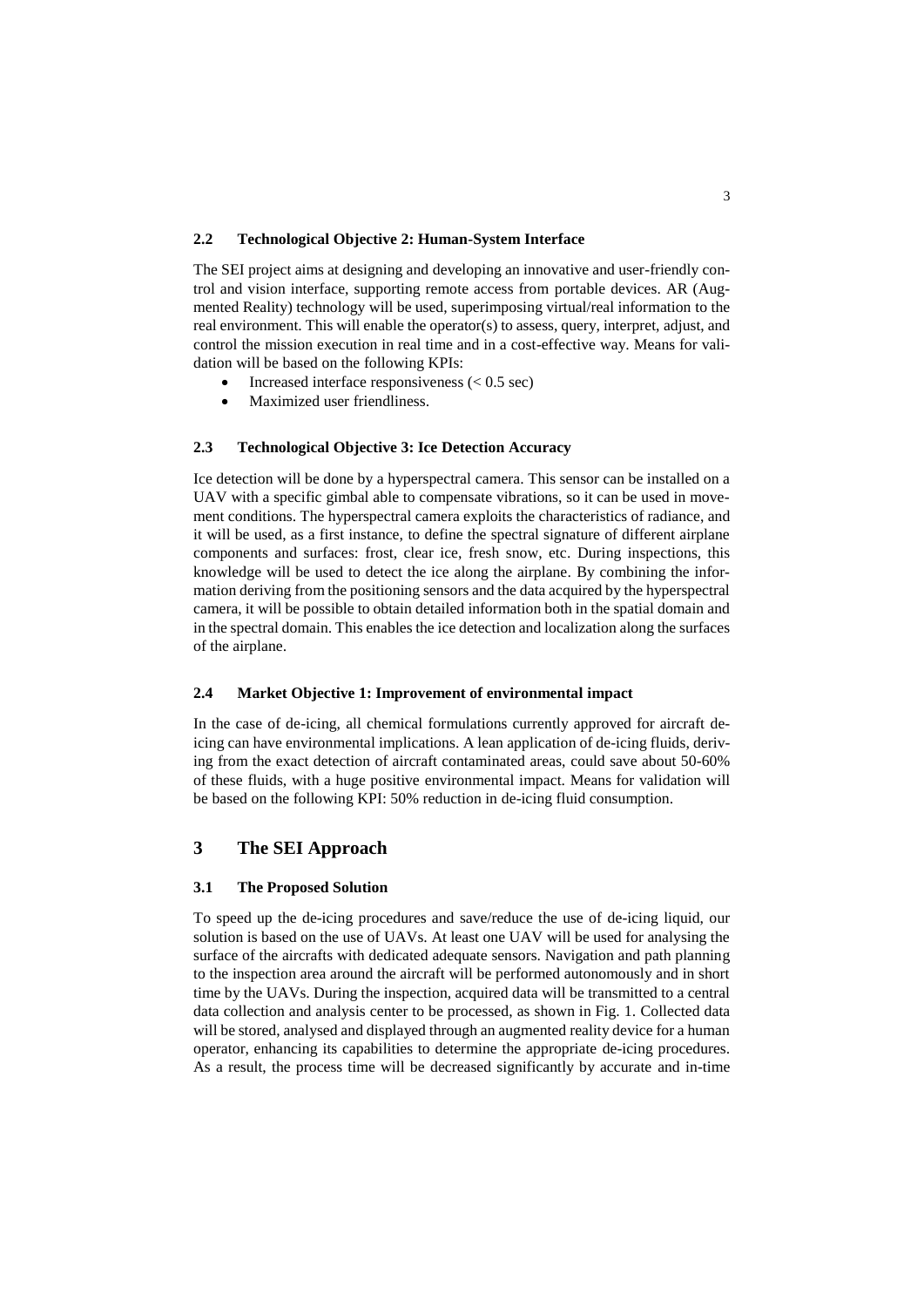#### **2.2 Technological Objective 2: Human-System Interface**

The SEI project aims at designing and developing an innovative and user-friendly control and vision interface, supporting remote access from portable devices. AR (Augmented Reality) technology will be used, superimposing virtual/real information to the real environment. This will enable the operator(s) to assess, query, interpret, adjust, and control the mission execution in real time and in a cost-effective way. Means for validation will be based on the following KPIs:

- Increased interface responsiveness  $(< 0.5 \text{ sec})$
- Maximized user friendliness.

#### **2.3 Technological Objective 3: Ice Detection Accuracy**

Ice detection will be done by a hyperspectral camera. This sensor can be installed on a UAV with a specific gimbal able to compensate vibrations, so it can be used in movement conditions. The hyperspectral camera exploits the characteristics of radiance, and it will be used, as a first instance, to define the spectral signature of different airplane components and surfaces: frost, clear ice, fresh snow, etc. During inspections, this knowledge will be used to detect the ice along the airplane. By combining the information deriving from the positioning sensors and the data acquired by the hyperspectral camera, it will be possible to obtain detailed information both in the spatial domain and in the spectral domain. This enables the ice detection and localization along the surfaces of the airplane.

#### **2.4 Market Objective 1: Improvement of environmental impact**

In the case of de-icing, all chemical formulations currently approved for aircraft deicing can have environmental implications. A lean application of de-icing fluids, deriving from the exact detection of aircraft contaminated areas, could save about 50-60% of these fluids, with a huge positive environmental impact. Means for validation will be based on the following KPI: 50% reduction in de-icing fluid consumption.

## **3 The SEI Approach**

#### **3.1 The Proposed Solution**

To speed up the de-icing procedures and save/reduce the use of de-icing liquid, our solution is based on the use of UAVs. At least one UAV will be used for analysing the surface of the aircrafts with dedicated adequate sensors. Navigation and path planning to the inspection area around the aircraft will be performed autonomously and in short time by the UAVs. During the inspection, acquired data will be transmitted to a central data collection and analysis center to be processed, as shown in Fig. 1. Collected data will be stored, analysed and displayed through an augmented reality device for a human operator, enhancing its capabilities to determine the appropriate de-icing procedures. As a result, the process time will be decreased significantly by accurate and in-time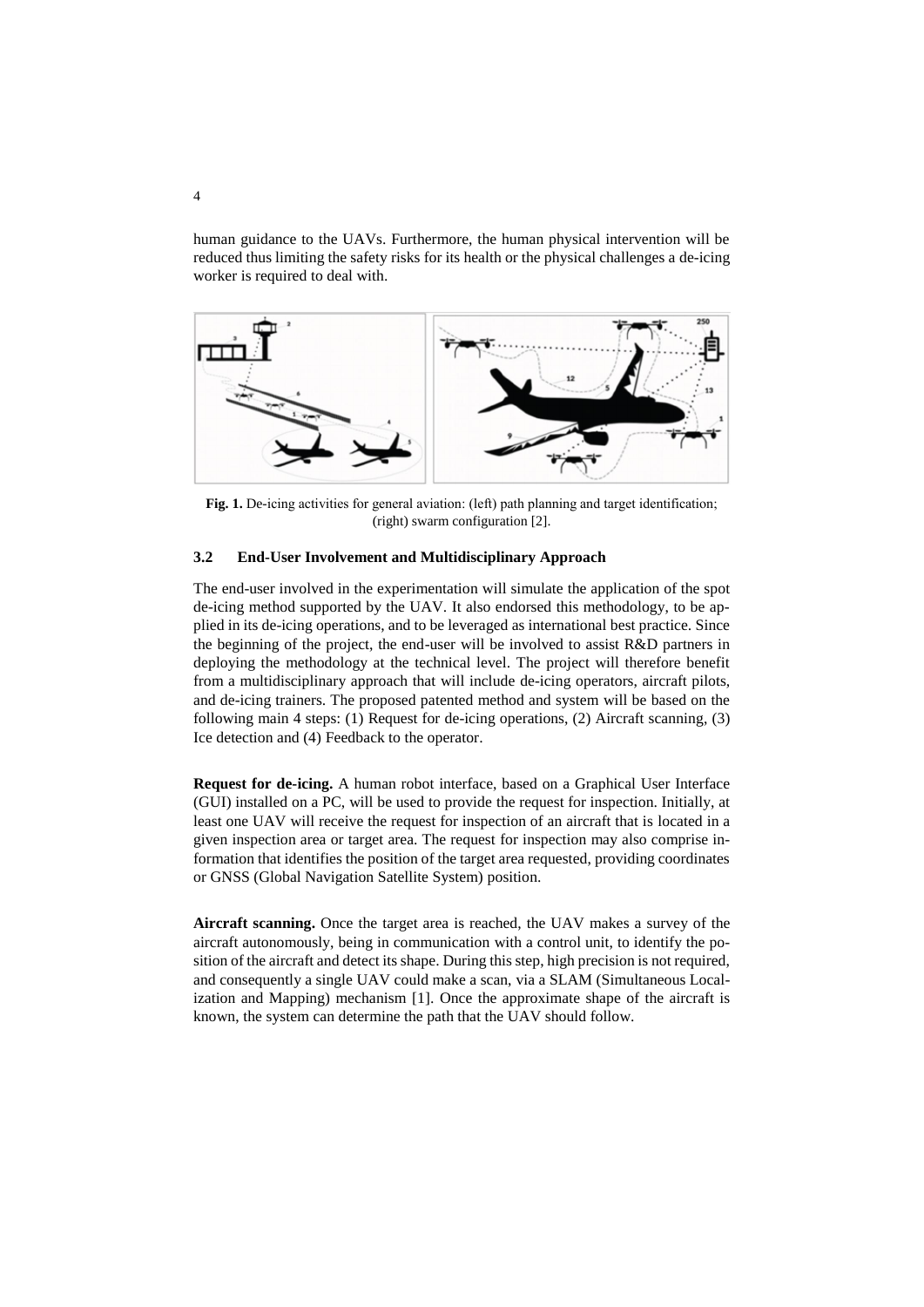human guidance to the UAVs. Furthermore, the human physical intervention will be reduced thus limiting the safety risks for its health or the physical challenges a de-icing worker is required to deal with.



Fig. 1. De-icing activities for general aviation: (left) path planning and target identification; (right) swarm configuration [2].

#### **3.2 End-User Involvement and Multidisciplinary Approach**

The end-user involved in the experimentation will simulate the application of the spot de-icing method supported by the UAV. It also endorsed this methodology, to be applied in its de-icing operations, and to be leveraged as international best practice. Since the beginning of the project, the end-user will be involved to assist R&D partners in deploying the methodology at the technical level. The project will therefore benefit from a multidisciplinary approach that will include de-icing operators, aircraft pilots, and de-icing trainers. The proposed patented method and system will be based on the following main 4 steps: (1) Request for de-icing operations, (2) Aircraft scanning, (3) Ice detection and (4) Feedback to the operator.

**Request for de-icing.** A human robot interface, based on a Graphical User Interface (GUI) installed on a PC, will be used to provide the request for inspection. Initially, at least one UAV will receive the request for inspection of an aircraft that is located in a given inspection area or target area. The request for inspection may also comprise information that identifies the position of the target area requested, providing coordinates or GNSS (Global Navigation Satellite System) position.

**Aircraft scanning.** Once the target area is reached, the UAV makes a survey of the aircraft autonomously, being in communication with a control unit, to identify the position of the aircraft and detect its shape. During this step, high precision is not required, and consequently a single UAV could make a scan, via a SLAM (Simultaneous Localization and Mapping) mechanism [1]. Once the approximate shape of the aircraft is known, the system can determine the path that the UAV should follow.